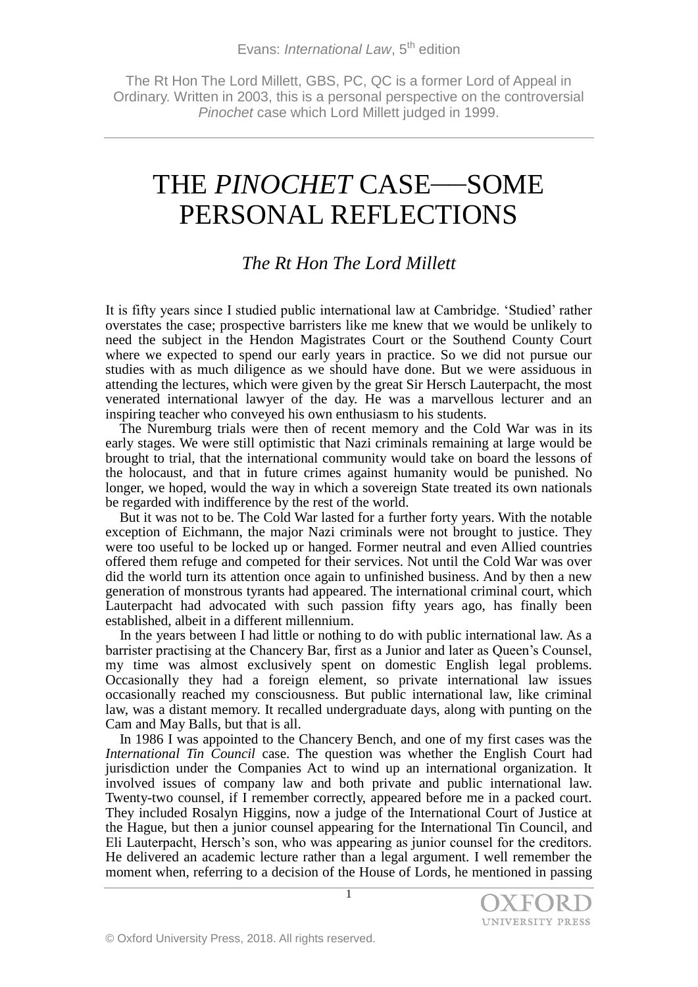The Rt Hon The Lord Millett, GBS, PC, QC is a former Lord of Appeal in Ordinary. Written in 2003, this is a personal perspective on the controversial *Pinochet* case which Lord Millett judged in 1999.

## THE *PINOCHET* CASE––SOME PERSONAL REFLECTIONS

## *The Rt Hon The Lord Millett*

It is fifty years since I studied public international law at Cambridge. 'Studied' rather overstates the case; prospective barristers like me knew that we would be unlikely to need the subject in the Hendon Magistrates Court or the Southend County Court where we expected to spend our early years in practice. So we did not pursue our studies with as much diligence as we should have done. But we were assiduous in attending the lectures, which were given by the great Sir Hersch Lauterpacht, the most venerated international lawyer of the day. He was a marvellous lecturer and an inspiring teacher who conveyed his own enthusiasm to his students.

The Nuremburg trials were then of recent memory and the Cold War was in its early stages. We were still optimistic that Nazi criminals remaining at large would be brought to trial, that the international community would take on board the lessons of the holocaust, and that in future crimes against humanity would be punished. No longer, we hoped, would the way in which a sovereign State treated its own nationals be regarded with indifference by the rest of the world.

But it was not to be. The Cold War lasted for a further forty years. With the notable exception of Eichmann, the major Nazi criminals were not brought to justice. They were too useful to be locked up or hanged. Former neutral and even Allied countries offered them refuge and competed for their services. Not until the Cold War was over did the world turn its attention once again to unfinished business. And by then a new generation of monstrous tyrants had appeared. The international criminal court, which Lauterpacht had advocated with such passion fifty years ago, has finally been established, albeit in a different millennium.

In the years between I had little or nothing to do with public international law. As a barrister practising at the Chancery Bar, first as a Junior and later as Queen's Counsel, my time was almost exclusively spent on domestic English legal problems. Occasionally they had a foreign element, so private international law issues occasionally reached my consciousness. But public international law, like criminal law, was a distant memory. It recalled undergraduate days, along with punting on the Cam and May Balls, but that is all.

In 1986 I was appointed to the Chancery Bench, and one of my first cases was the *International Tin Council* case. The question was whether the English Court had jurisdiction under the Companies Act to wind up an international organization. It involved issues of company law and both private and public international law. Twenty-two counsel, if I remember correctly, appeared before me in a packed court. They included Rosalyn Higgins, now a judge of the International Court of Justice at the Hague, but then a junior counsel appearing for the International Tin Council, and Eli Lauterpacht, Hersch's son, who was appearing as junior counsel for the creditors. He delivered an academic lecture rather than a legal argument. I well remember the moment when, referring to a decision of the House of Lords, he mentioned in passing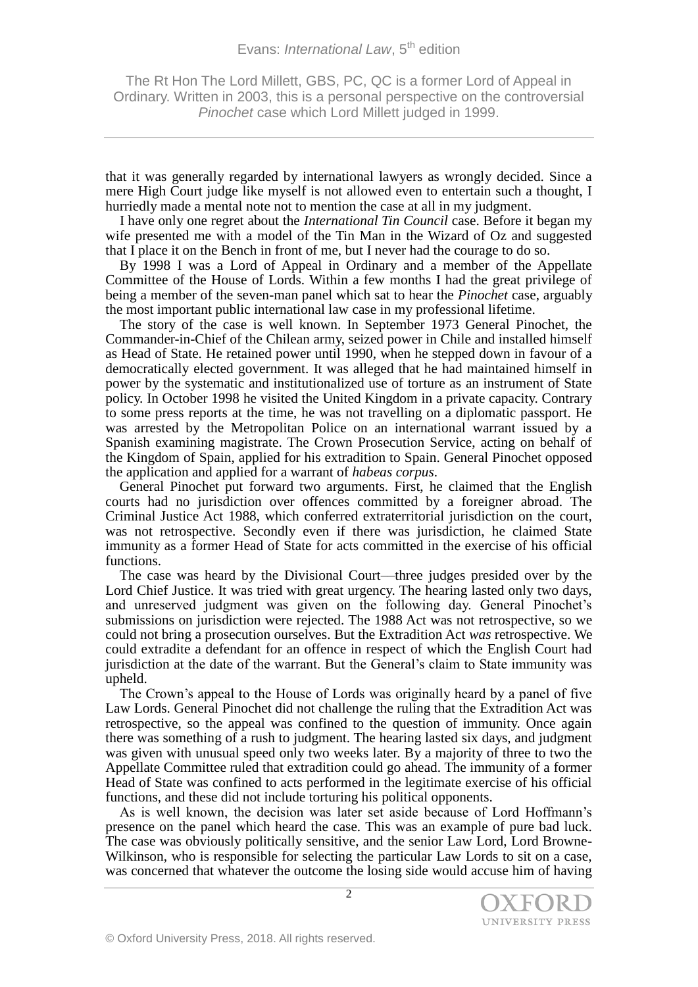The Rt Hon The Lord Millett, GBS, PC, QC is a former Lord of Appeal in Ordinary. Written in 2003, this is a personal perspective on the controversial *Pinochet* case which Lord Millett judged in 1999.

that it was generally regarded by international lawyers as wrongly decided. Since a mere High Court judge like myself is not allowed even to entertain such a thought, I hurriedly made a mental note not to mention the case at all in my judgment.

I have only one regret about the *International Tin Council* case. Before it began my wife presented me with a model of the Tin Man in the Wizard of Oz and suggested that I place it on the Bench in front of me, but I never had the courage to do so.

By 1998 I was a Lord of Appeal in Ordinary and a member of the Appellate Committee of the House of Lords. Within a few months I had the great privilege of being a member of the seven-man panel which sat to hear the *Pinochet* case, arguably the most important public international law case in my professional lifetime.

The story of the case is well known. In September 1973 General Pinochet, the Commander-in-Chief of the Chilean army, seized power in Chile and installed himself as Head of State. He retained power until 1990, when he stepped down in favour of a democratically elected government. It was alleged that he had maintained himself in power by the systematic and institutionalized use of torture as an instrument of State policy. In October 1998 he visited the United Kingdom in a private capacity. Contrary to some press reports at the time, he was not travelling on a diplomatic passport. He was arrested by the Metropolitan Police on an international warrant issued by a Spanish examining magistrate. The Crown Prosecution Service, acting on behalf of the Kingdom of Spain, applied for his extradition to Spain. General Pinochet opposed the application and applied for a warrant of *habeas corpus*.

General Pinochet put forward two arguments. First, he claimed that the English courts had no jurisdiction over offences committed by a foreigner abroad. The Criminal Justice Act 1988, which conferred extraterritorial jurisdiction on the court, was not retrospective. Secondly even if there was jurisdiction, he claimed State immunity as a former Head of State for acts committed in the exercise of his official functions.

The case was heard by the Divisional Court––three judges presided over by the Lord Chief Justice. It was tried with great urgency. The hearing lasted only two days, and unreserved judgment was given on the following day. General Pinochet's submissions on jurisdiction were rejected. The 1988 Act was not retrospective, so we could not bring a prosecution ourselves. But the Extradition Act *was* retrospective. We could extradite a defendant for an offence in respect of which the English Court had jurisdiction at the date of the warrant. But the General's claim to State immunity was upheld.

The Crown's appeal to the House of Lords was originally heard by a panel of five Law Lords. General Pinochet did not challenge the ruling that the Extradition Act was retrospective, so the appeal was confined to the question of immunity. Once again there was something of a rush to judgment. The hearing lasted six days, and judgment was given with unusual speed only two weeks later. By a majority of three to two the Appellate Committee ruled that extradition could go ahead. The immunity of a former Head of State was confined to acts performed in the legitimate exercise of his official functions, and these did not include torturing his political opponents.

As is well known, the decision was later set aside because of Lord Hoffmann's presence on the panel which heard the case. This was an example of pure bad luck. The case was obviously politically sensitive, and the senior Law Lord, Lord Browne-Wilkinson, who is responsible for selecting the particular Law Lords to sit on a case, was concerned that whatever the outcome the losing side would accuse him of having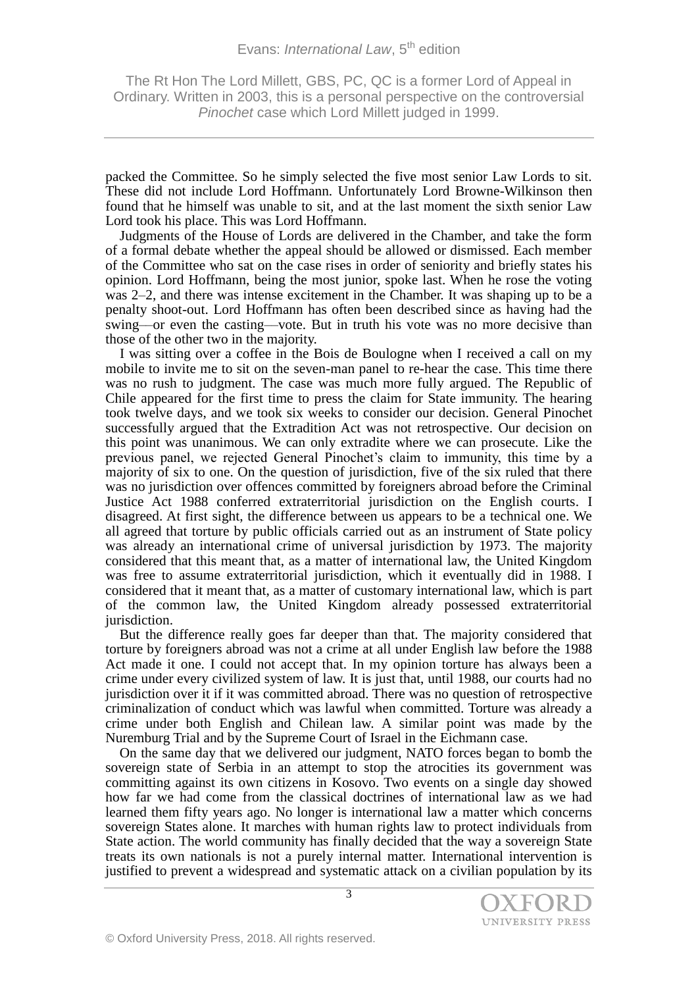The Rt Hon The Lord Millett, GBS, PC, QC is a former Lord of Appeal in Ordinary. Written in 2003, this is a personal perspective on the controversial *Pinochet* case which Lord Millett judged in 1999.

packed the Committee. So he simply selected the five most senior Law Lords to sit. These did not include Lord Hoffmann. Unfortunately Lord Browne-Wilkinson then found that he himself was unable to sit, and at the last moment the sixth senior Law Lord took his place. This was Lord Hoffmann.

Judgments of the House of Lords are delivered in the Chamber, and take the form of a formal debate whether the appeal should be allowed or dismissed. Each member of the Committee who sat on the case rises in order of seniority and briefly states his opinion. Lord Hoffmann, being the most junior, spoke last. When he rose the voting was 2–2, and there was intense excitement in the Chamber. It was shaping up to be a penalty shoot-out. Lord Hoffmann has often been described since as having had the swing––or even the casting––vote. But in truth his vote was no more decisive than those of the other two in the majority.

I was sitting over a coffee in the Bois de Boulogne when I received a call on my mobile to invite me to sit on the seven-man panel to re-hear the case. This time there was no rush to judgment. The case was much more fully argued. The Republic of Chile appeared for the first time to press the claim for State immunity. The hearing took twelve days, and we took six weeks to consider our decision. General Pinochet successfully argued that the Extradition Act was not retrospective. Our decision on this point was unanimous. We can only extradite where we can prosecute. Like the previous panel, we rejected General Pinochet's claim to immunity, this time by a majority of six to one. On the question of jurisdiction, five of the six ruled that there was no jurisdiction over offences committed by foreigners abroad before the Criminal Justice Act 1988 conferred extraterritorial jurisdiction on the English courts. I disagreed. At first sight, the difference between us appears to be a technical one. We all agreed that torture by public officials carried out as an instrument of State policy was already an international crime of universal jurisdiction by 1973. The majority considered that this meant that, as a matter of international law, the United Kingdom was free to assume extraterritorial jurisdiction, which it eventually did in 1988. I considered that it meant that, as a matter of customary international law, which is part of the common law, the United Kingdom already possessed extraterritorial jurisdiction.

But the difference really goes far deeper than that. The majority considered that torture by foreigners abroad was not a crime at all under English law before the 1988 Act made it one. I could not accept that. In my opinion torture has always been a crime under every civilized system of law. It is just that, until 1988, our courts had no jurisdiction over it if it was committed abroad. There was no question of retrospective criminalization of conduct which was lawful when committed. Torture was already a crime under both English and Chilean law. A similar point was made by the Nuremburg Trial and by the Supreme Court of Israel in the Eichmann case.

On the same day that we delivered our judgment, NATO forces began to bomb the sovereign state of Serbia in an attempt to stop the atrocities its government was committing against its own citizens in Kosovo. Two events on a single day showed how far we had come from the classical doctrines of international law as we had learned them fifty years ago. No longer is international law a matter which concerns sovereign States alone. It marches with human rights law to protect individuals from State action. The world community has finally decided that the way a sovereign State treats its own nationals is not a purely internal matter. International intervention is justified to prevent a widespread and systematic attack on a civilian population by its